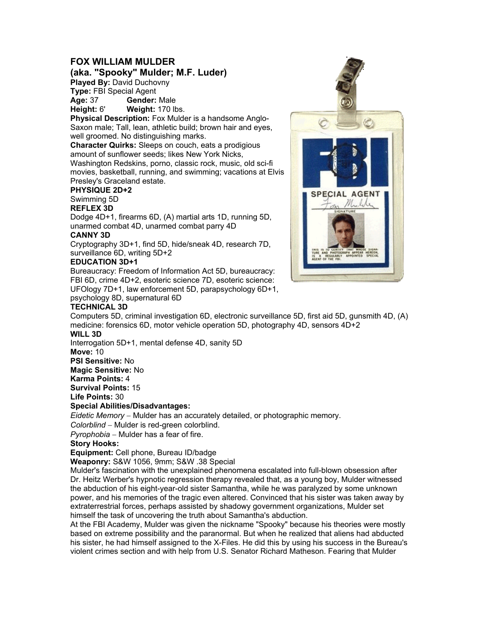## **FOX WILLIAM MULDER**

**(aka. "Spooky" Mulder; M.F. Luder)** 

**Played By:** David Duchovny

**Type:** FBI Special Agent

**Age:** 37 **Gender:** Male

**Height:** 6' **Weight:** 170 lbs.

**Physical Description:** Fox Mulder is a handsome Anglo-Saxon male; Tall, lean, athletic build; brown hair and eyes, well groomed. No distinguishing marks.

**Character Quirks:** Sleeps on couch, eats a prodigious amount of sunflower seeds; likes New York Nicks, Washington Redskins, porno, classic rock, music, old sci-fi movies, basketball, running, and swimming; vacations at Elvis

# Presley's Graceland estate.

# **PHYSIQUE 2D+2**

Swimming 5D

#### **REFLEX 3D**

Dodge 4D+1, firearms 6D, (A) martial arts 1D, running 5D, unarmed combat 4D, unarmed combat parry 4D

### **CANNY 3D**

Cryptography 3D+1, find 5D, hide/sneak 4D, research 7D, surveillance 6D, writing 5D+2

### **EDUCATION 3D+1**

Bureaucracy: Freedom of Information Act 5D, bureaucracy: FBI 6D, crime 4D+2, esoteric science 7D, esoteric science: UFOlogy 7D+1, law enforcement 5D, parapsychology 6D+1, psychology 8D, supernatural 6D

### **TECHNICAL 3D**

Computers 5D, criminal investigation 6D, electronic surveillance 5D, first aid 5D, gunsmith 4D, (A) medicine: forensics 6D, motor vehicle operation 5D, photography 4D, sensors 4D+2 **WILL 3D** 

Interrogation 5D+1, mental defense 4D, sanity 5D

**Move:** 10

**PSI Sensitive:** No

**Magic Sensitive:** No

**Karma Points:** 4

**Survival Points:** 15

**Life Points:** 30

### **Special Abilities/Disadvantages:**

*Eidetic Memory* − Mulder has an accurately detailed, or photographic memory.

*Colorblind* − Mulder is red-green colorblind.

*Pyrophobia* − Mulder has a fear of fire.

#### **Story Hooks:**

**Equipment:** Cell phone, Bureau ID/badge

**Weaponry:** S&W 1056, 9mm; S&W .38 Special

Mulder's fascination with the unexplained phenomena escalated into full-blown obsession after Dr. Heitz Werber's hypnotic regression therapy revealed that, as a young boy, Mulder witnessed the abduction of his eight-year-old sister Samantha, while he was paralyzed by some unknown power, and his memories of the tragic even altered. Convinced that his sister was taken away by extraterrestrial forces, perhaps assisted by shadowy government organizations, Mulder set himself the task of uncovering the truth about Samantha's abduction.

At the FBI Academy, Mulder was given the nickname "Spooky" because his theories were mostly based on extreme possibility and the paranormal. But when he realized that aliens had abducted his sister, he had himself assigned to the X-Files. He did this by using his success in the Bureau's violent crimes section and with help from U.S. Senator Richard Matheson. Fearing that Mulder

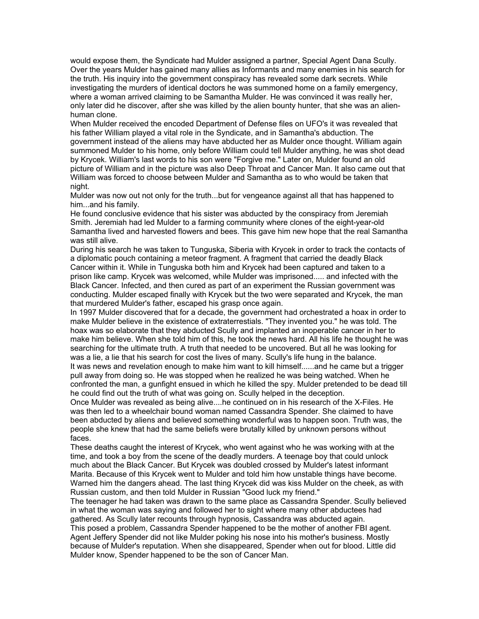would expose them, the Syndicate had Mulder assigned a partner, Special Agent Dana Scully. Over the years Mulder has gained many allies as Informants and many enemies in his search for the truth. His inquiry into the government conspiracy has revealed some dark secrets. While investigating the murders of identical doctors he was summoned home on a family emergency, where a woman arrived claiming to be Samantha Mulder. He was convinced it was really her, only later did he discover, after she was killed by the alien bounty hunter, that she was an alienhuman clone.

When Mulder received the encoded Department of Defense files on UFO's it was revealed that his father William played a vital role in the Syndicate, and in Samantha's abduction. The government instead of the aliens may have abducted her as Mulder once thought. William again summoned Mulder to his home, only before William could tell Mulder anything, he was shot dead by Krycek. William's last words to his son were "Forgive me." Later on, Mulder found an old picture of William and in the picture was also Deep Throat and Cancer Man. It also came out that William was forced to choose between Mulder and Samantha as to who would be taken that night.

Mulder was now out not only for the truth...but for vengeance against all that has happened to him...and his family.

He found conclusive evidence that his sister was abducted by the conspiracy from Jeremiah Smith. Jeremiah had led Mulder to a farming community where clones of the eight-year-old Samantha lived and harvested flowers and bees. This gave him new hope that the real Samantha was still alive.

During his search he was taken to Tunguska, Siberia with Krycek in order to track the contacts of a diplomatic pouch containing a meteor fragment. A fragment that carried the deadly Black Cancer within it. While in Tunguska both him and Krycek had been captured and taken to a prison like camp. Krycek was welcomed, while Mulder was imprisoned..... and infected with the Black Cancer. Infected, and then cured as part of an experiment the Russian government was conducting. Mulder escaped finally with Krycek but the two were separated and Krycek, the man that murdered Mulder's father, escaped his grasp once again.

In 1997 Mulder discovered that for a decade, the government had orchestrated a hoax in order to make Mulder believe in the existence of extraterrestials. "They invented you." he was told. The hoax was so elaborate that they abducted Scully and implanted an inoperable cancer in her to make him believe. When she told him of this, he took the news hard. All his life he thought he was searching for the ultimate truth. A truth that needed to be uncovered. But all he was looking for was a lie, a lie that his search for cost the lives of many. Scully's life hung in the balance. It was news and revelation enough to make him want to kill himself......and he came but a trigger pull away from doing so. He was stopped when he realized he was being watched. When he confronted the man, a gunfight ensued in which he killed the spy. Mulder pretended to be dead till

he could find out the truth of what was going on. Scully helped in the deception.

Once Mulder was revealed as being alive....he continued on in his research of the X-Files. He was then led to a wheelchair bound woman named Cassandra Spender. She claimed to have been abducted by aliens and believed something wonderful was to happen soon. Truth was, the people she knew that had the same beliefs were brutally killed by unknown persons without faces.

These deaths caught the interest of Krycek, who went against who he was working with at the time, and took a boy from the scene of the deadly murders. A teenage boy that could unlock much about the Black Cancer. But Krycek was doubled crossed by Mulder's latest informant Marita. Because of this Krycek went to Mulder and told him how unstable things have become. Warned him the dangers ahead. The last thing Krycek did was kiss Mulder on the cheek, as with Russian custom, and then told Mulder in Russian "Good luck my friend."

The teenager he had taken was drawn to the same place as Cassandra Spender. Scully believed in what the woman was saying and followed her to sight where many other abductees had gathered. As Scully later recounts through hypnosis, Cassandra was abducted again.

This posed a problem, Cassandra Spender happened to be the mother of another FBI agent. Agent Jeffery Spender did not like Mulder poking his nose into his mother's business. Mostly because of Mulder's reputation. When she disappeared, Spender when out for blood. Little did Mulder know, Spender happened to be the son of Cancer Man.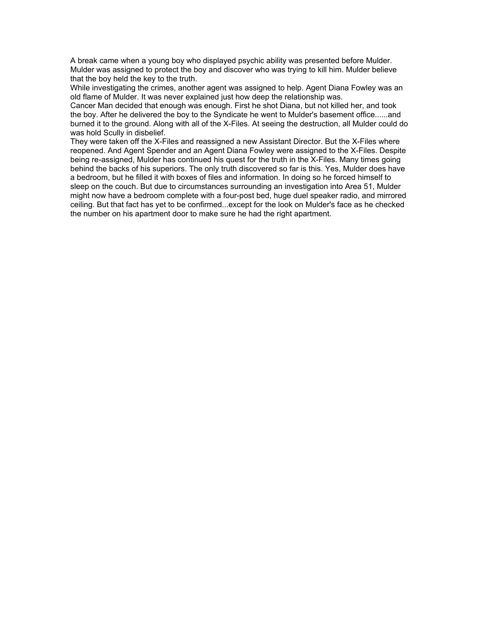A break came when a young boy who displayed psychic ability was presented before Mulder. Mulder was assigned to protect the boy and discover who was trying to kill him. Mulder believe that the boy held the key to the truth.

While investigating the crimes, another agent was assigned to help. Agent Diana Fowley was an old flame of Mulder. It was never explained just how deep the relationship was.

Cancer Man decided that enough was enough. First he shot Diana, but not killed her, and took the boy. After he delivered the boy to the Syndicate he went to Mulder's basement office......and burned it to the ground. Along with all of the X-Files. At seeing the destruction, all Mulder could do was hold Scully in disbelief.

They were taken off the X-Files and reassigned a new Assistant Director. But the X-Files where reopened. And Agent Spender and an Agent Diana Fowley were assigned to the X-Files. Despite being re-assigned, Mulder has continued his quest for the truth in the X-Files. Many times going behind the backs of his superiors. The only truth discovered so far is this. Yes, Mulder does have a bedroom, but he filled it with boxes of files and information. In doing so he forced himself to sleep on the couch. But due to circumstances surrounding an investigation into Area 51, Mulder might now have a bedroom complete with a four-post bed, huge duel speaker radio, and mirrored ceiling. But that fact has yet to be confirmed...except for the look on Mulder's face as he checked the number on his apartment door to make sure he had the right apartment.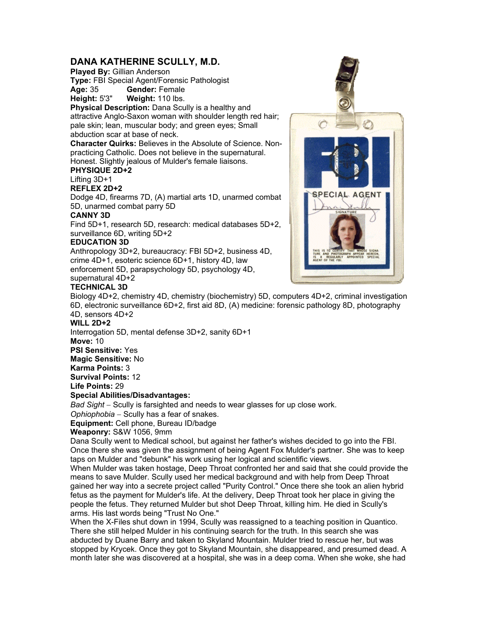## **DANA KATHERINE SCULLY, M.D.**

**Played By:** Gillian Anderson

**Type:** FBI Special Agent/Forensic Pathologist **Age:** 35 **Gender:** Female

**Height:** 5'3" **Weight:** 110 lbs.

**Physical Description:** Dana Scully is a healthy and attractive Anglo-Saxon woman with shoulder length red hair; pale skin; lean, muscular body; and green eyes; Small abduction scar at base of neck.

**Character Quirks:** Believes in the Absolute of Science. Nonpracticing Catholic. Does not believe in the supernatural. Honest. Slightly jealous of Mulder's female liaisons.

# **PHYSIQUE 2D+2**

## Lifting 3D+1

**REFLEX 2D+2** 

Dodge 4D, firearms 7D, (A) martial arts 1D, unarmed combat 5D, unarmed combat parry 5D

### **CANNY 3D**

Find 5D+1, research 5D, research: medical databases 5D+2, surveillance 6D, writing 5D+2

### **EDUCATION 3D**

Anthropology 3D+2, bureaucracy: FBI 5D+2, business 4D, crime 4D+1, esoteric science 6D+1, history 4D, law enforcement 5D, parapsychology 5D, psychology 4D, supernatural 4D+2



### **TECHNICAL 3D**

Biology 4D+2, chemistry 4D, chemistry (biochemistry) 5D, computers 4D+2, criminal investigation 6D, electronic surveillance 6D+2, first aid 8D, (A) medicine: forensic pathology 8D, photography 4D, sensors 4D+2

### **WILL 2D+2**

Interrogation 5D, mental defense 3D+2, sanity 6D+1

**Move:** 10

**PSI Sensitive:** Yes

**Magic Sensitive:** No

**Karma Points:** 3

**Survival Points:** 12

**Life Points:** 29

#### **Special Abilities/Disadvantages:**

*Bad Sight* − Scully is farsighted and needs to wear glasses for up close work.

*Ophiophobia* − Scully has a fear of snakes.

**Equipment:** Cell phone, Bureau ID/badge

**Weaponry:** S&W 1056, 9mm

Dana Scully went to Medical school, but against her father's wishes decided to go into the FBI. Once there she was given the assignment of being Agent Fox Mulder's partner. She was to keep taps on Mulder and "debunk" his work using her logical and scientific views.

When Mulder was taken hostage, Deep Throat confronted her and said that she could provide the means to save Mulder. Scully used her medical background and with help from Deep Throat gained her way into a secrete project called "Purity Control." Once there she took an alien hybrid fetus as the payment for Mulder's life. At the delivery, Deep Throat took her place in giving the people the fetus. They returned Mulder but shot Deep Throat, killing him. He died in Scully's arms. His last words being "Trust No One."

When the X-Files shut down in 1994, Scully was reassigned to a teaching position in Quantico. There she still helped Mulder in his continuing search for the truth. In this search she was abducted by Duane Barry and taken to Skyland Mountain. Mulder tried to rescue her, but was stopped by Krycek. Once they got to Skyland Mountain, she disappeared, and presumed dead. A month later she was discovered at a hospital, she was in a deep coma. When she woke, she had